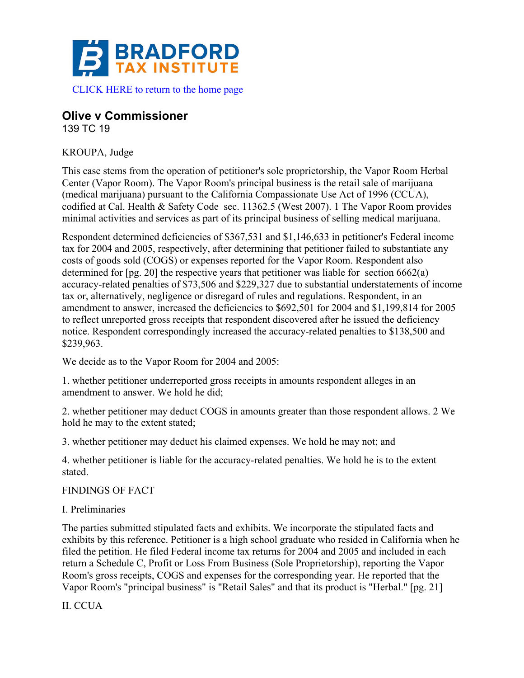

# **Olive v Commissioner**

139 TC 19

KROUPA, Judge

This case stems from the operation of petitioner's sole proprietorship, the Vapor Room Herbal Center (Vapor Room). The Vapor Room's principal business is the retail sale of marijuana (medical marijuana) pursuant to the California Compassionate Use Act of 1996 (CCUA), codified at Cal. Health & Safety Code sec. 11362.5 (West 2007). 1 The Vapor Room provides minimal activities and services as part of its principal business of selling medical marijuana.

Respondent determined deficiencies of \$367,531 and \$1,146,633 in petitioner's Federal income tax for 2004 and 2005, respectively, after determining that petitioner failed to substantiate any costs of goods sold (COGS) or expenses reported for the Vapor Room. Respondent also determined for [pg. 20] the respective years that petitioner was liable for section 6662(a) accuracy-related penalties of \$73,506 and \$229,327 due to substantial understatements of income tax or, alternatively, negligence or disregard of rules and regulations. Respondent, in an amendment to answer, increased the deficiencies to \$692,501 for 2004 and \$1,199,814 for 2005 to reflect unreported gross receipts that respondent discovered after he issued the deficiency notice. Respondent correspondingly increased the accuracy-related penalties to \$138,500 and \$239,963.

We decide as to the Vapor Room for 2004 and 2005:

1. whether petitioner underreported gross receipts in amounts respondent alleges in an amendment to answer. We hold he did;

2. whether petitioner may deduct COGS in amounts greater than those respondent allows. 2 We hold he may to the extent stated;

3. whether petitioner may deduct his claimed expenses. We hold he may not; and

4. whether petitioner is liable for the accuracy-related penalties. We hold he is to the extent stated.

FINDINGS OF FACT

I. Preliminaries

The parties submitted stipulated facts and exhibits. We incorporate the stipulated facts and exhibits by this reference. Petitioner is a high school graduate who resided in California when he filed the petition. He filed Federal income tax returns for 2004 and 2005 and included in each return a Schedule C, Profit or Loss From Business (Sole Proprietorship), reporting the Vapor Room's gross receipts, COGS and expenses for the corresponding year. He reported that the Vapor Room's "principal business" is "Retail Sales" and that its product is "Herbal." [pg. 21]

II. CCUA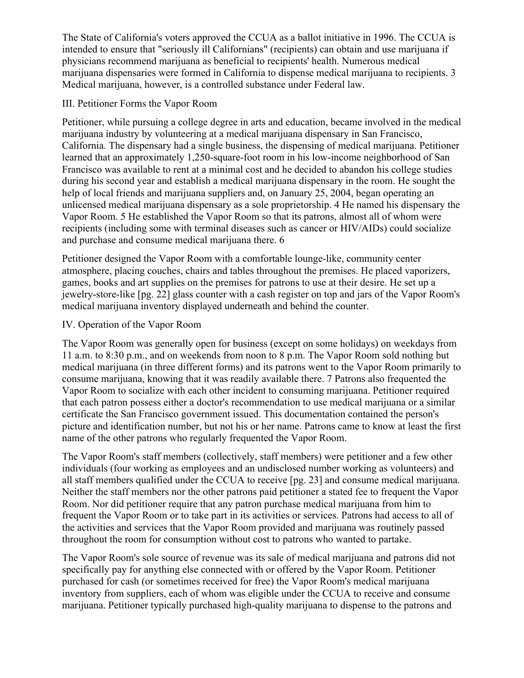The State of California's voters approved the CCUA as a ballot initiative in 1996. The CCUA is intended to ensure that "seriously ill Californians" (recipients) can obtain and use marijuana if physicians recommend marijuana as beneficial to recipients' health. Numerous medical marijuana dispensaries were formed in California to dispense medical marijuana to recipients. 3 Medical marijuana, however, is a controlled substance under Federal law.

### III. Petitioner Forms the Vapor Room

Petitioner, while pursuing a college degree in arts and education, became involved in the medical marijuana industry by volunteering at a medical marijuana dispensary in San Francisco, California. The dispensary had a single business, the dispensing of medical marijuana. Petitioner learned that an approximately 1,250-square-foot room in his low-income neighborhood of San Francisco was available to rent at a minimal cost and he decided to abandon his college studies during his second year and establish a medical marijuana dispensary in the room. He sought the help of local friends and marijuana suppliers and, on January 25, 2004, began operating an unlicensed medical marijuana dispensary as a sole proprietorship. 4 He named his dispensary the Vapor Room. 5 He established the Vapor Room so that its patrons, almost all of whom were recipients (including some with terminal diseases such as cancer or HIV/AIDs) could socialize and purchase and consume medical marijuana there. 6

Petitioner designed the Vapor Room with a comfortable lounge-like, community center atmosphere, placing couches, chairs and tables throughout the premises. He placed vaporizers, games, books and art supplies on the premises for patrons to use at their desire. He set up a jewelry-store-like [pg. 22] glass counter with a cash register on top and jars of the Vapor Room's medical marijuana inventory displayed underneath and behind the counter.

### IV. Operation of the Vapor Room

The Vapor Room was generally open for business (except on some holidays) on weekdays from 11 a.m. to 8:30 p.m., and on weekends from noon to 8 p.m. The Vapor Room sold nothing but medical marijuana (in three different forms) and its patrons went to the Vapor Room primarily to consume marijuana, knowing that it was readily available there. 7 Patrons also frequented the Vapor Room to socialize with each other incident to consuming marijuana. Petitioner required that each patron possess either a doctor's recommendation to use medical marijuana or a similar certificate the San Francisco government issued. This documentation contained the person's picture and identification number, but not his or her name. Patrons came to know at least the first name of the other patrons who regularly frequented the Vapor Room.

The Vapor Room's staff members (collectively, staff members) were petitioner and a few other individuals (four working as employees and an undisclosed number working as volunteers) and all staff members qualified under the CCUA to receive [pg. 23] and consume medical marijuana. Neither the staff members nor the other patrons paid petitioner a stated fee to frequent the Vapor Room. Nor did petitioner require that any patron purchase medical marijuana from him to frequent the Vapor Room or to take part in its activities or services. Patrons had access to all of the activities and services that the Vapor Room provided and marijuana was routinely passed throughout the room for consumption without cost to patrons who wanted to partake.

The Vapor Room's sole source of revenue was its sale of medical marijuana and patrons did not specifically pay for anything else connected with or offered by the Vapor Room. Petitioner purchased for cash (or sometimes received for free) the Vapor Room's medical marijuana inventory from suppliers, each of whom was eligible under the CCUA to receive and consume marijuana. Petitioner typically purchased high-quality marijuana to dispense to the patrons and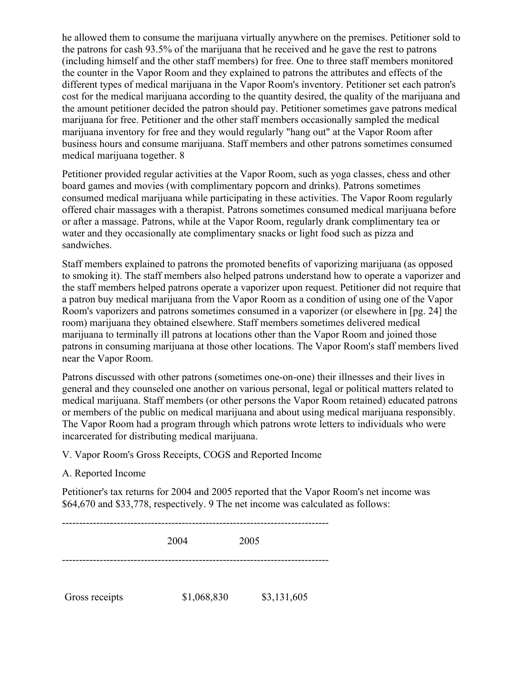he allowed them to consume the marijuana virtually anywhere on the premises. Petitioner sold to the patrons for cash 93.5% of the marijuana that he received and he gave the rest to patrons (including himself and the other staff members) for free. One to three staff members monitored the counter in the Vapor Room and they explained to patrons the attributes and effects of the different types of medical marijuana in the Vapor Room's inventory. Petitioner set each patron's cost for the medical marijuana according to the quantity desired, the quality of the marijuana and the amount petitioner decided the patron should pay. Petitioner sometimes gave patrons medical marijuana for free. Petitioner and the other staff members occasionally sampled the medical marijuana inventory for free and they would regularly "hang out" at the Vapor Room after business hours and consume marijuana. Staff members and other patrons sometimes consumed medical marijuana together. 8

Petitioner provided regular activities at the Vapor Room, such as yoga classes, chess and other board games and movies (with complimentary popcorn and drinks). Patrons sometimes consumed medical marijuana while participating in these activities. The Vapor Room regularly offered chair massages with a therapist. Patrons sometimes consumed medical marijuana before or after a massage. Patrons, while at the Vapor Room, regularly drank complimentary tea or water and they occasionally ate complimentary snacks or light food such as pizza and sandwiches.

Staff members explained to patrons the promoted benefits of vaporizing marijuana (as opposed to smoking it). The staff members also helped patrons understand how to operate a vaporizer and the staff members helped patrons operate a vaporizer upon request. Petitioner did not require that a patron buy medical marijuana from the Vapor Room as a condition of using one of the Vapor Room's vaporizers and patrons sometimes consumed in a vaporizer (or elsewhere in [pg. 24] the room) marijuana they obtained elsewhere. Staff members sometimes delivered medical marijuana to terminally ill patrons at locations other than the Vapor Room and joined those patrons in consuming marijuana at those other locations. The Vapor Room's staff members lived near the Vapor Room.

Patrons discussed with other patrons (sometimes one-on-one) their illnesses and their lives in general and they counseled one another on various personal, legal or political matters related to medical marijuana. Staff members (or other persons the Vapor Room retained) educated patrons or members of the public on medical marijuana and about using medical marijuana responsibly. The Vapor Room had a program through which patrons wrote letters to individuals who were incarcerated for distributing medical marijuana.

V. Vapor Room's Gross Receipts, COGS and Reported Income

### A. Reported Income

Petitioner's tax returns for 2004 and 2005 reported that the Vapor Room's net income was \$64,670 and \$33,778, respectively. 9 The net income was calculated as follows:

------------------------------------------------------------------------------ 2004 2005 ------------------------------------------------------------------------------ Gross receipts  $$1,068,830$   $$3,131,605$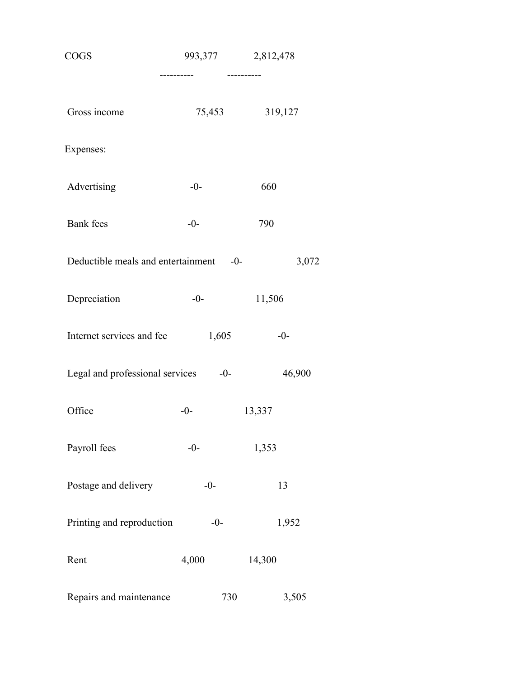| COGS                                            | 993,377    | 2,812,478  |  |  |
|-------------------------------------------------|------------|------------|--|--|
|                                                 | ---------- | ---------- |  |  |
| Gross income                                    | 75,453     | 319,127    |  |  |
| Expenses:                                       |            |            |  |  |
| Advertising                                     | $-0-$      | 660        |  |  |
| <b>Bank</b> fees                                | $-0-$      | 790        |  |  |
| Deductible meals and entertainment -0-<br>3,072 |            |            |  |  |
| Depreciation                                    | $-0-$      | 11,506     |  |  |
| Internet services and fee                       | 1,605      | $-0-$      |  |  |
| Legal and professional services                 | $-0-$      | 46,900     |  |  |
| Office                                          | $-0-$      | 13,337     |  |  |
| Payroll fees                                    | $-0-$      | 1,353      |  |  |
| Postage and delivery                            | $-0-$      | 13         |  |  |
| Printing and reproduction                       | $-0-$      | 1,952      |  |  |
| Rent                                            | 4,000      | 14,300     |  |  |
| Repairs and maintenance                         | 730        | 3,505      |  |  |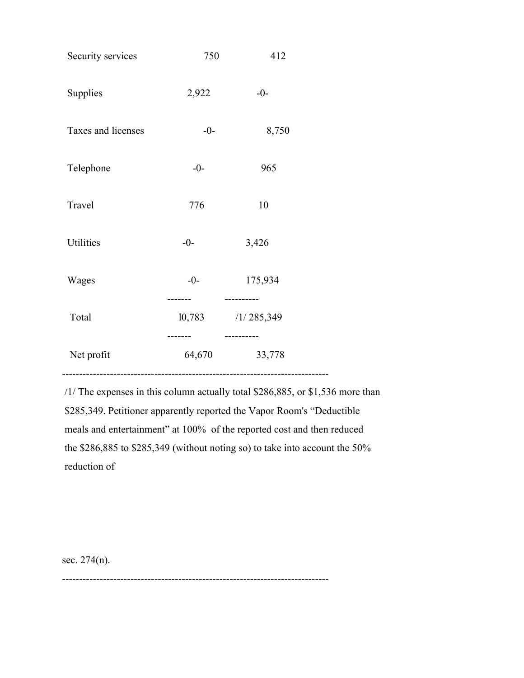| Security services                           | 750    | 412                    |
|---------------------------------------------|--------|------------------------|
| Supplies                                    | 2,922  | $-0-$                  |
| Taxes and licenses                          | $-0-$  | 8,750                  |
| Telephone                                   | $-0-$  | 965                    |
| Travel                                      | 776    | 10                     |
| Utilities                                   | $-0-$  | 3,426                  |
| Wages                                       | $-0-$  | 175,934                |
| Total                                       | 10,783 | /1/285,349<br>-------- |
| Net profit<br>.____________________________ | 64,670 | 33,778                 |

/1/ The expenses in this column actually total \$286,885, or \$1,536 more than \$285,349. Petitioner apparently reported the Vapor Room's "Deductible meals and entertainment" at 100% of the reported cost and then reduced the \$286,885 to \$285,349 (without noting so) to take into account the 50% reduction of

sec. 274(n).

------------------------------------------------------------------------------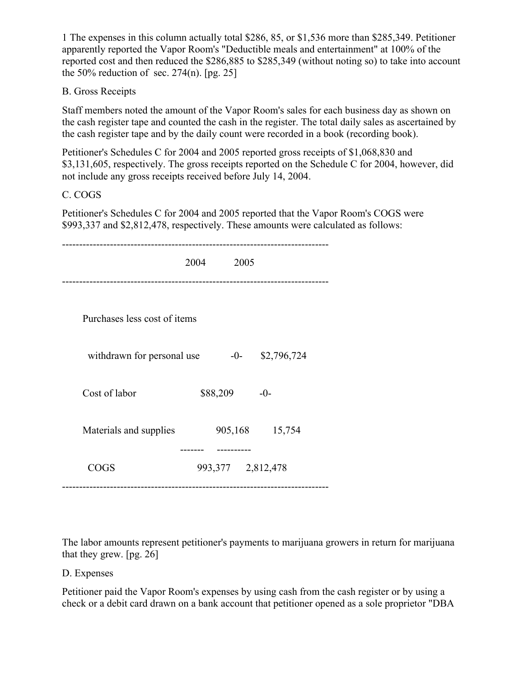1 The expenses in this column actually total \$286, 85, or \$1,536 more than \$285,349. Petitioner apparently reported the Vapor Room's "Deductible meals and entertainment" at 100% of the reported cost and then reduced the \$286,885 to \$285,349 (without noting so) to take into account the 50% reduction of sec.  $274(n)$ . [pg. 25]

### B. Gross Receipts

Staff members noted the amount of the Vapor Room's sales for each business day as shown on the cash register tape and counted the cash in the register. The total daily sales as ascertained by the cash register tape and by the daily count were recorded in a book (recording book).

Petitioner's Schedules C for 2004 and 2005 reported gross receipts of \$1,068,830 and \$3,131,605, respectively. The gross receipts reported on the Schedule C for 2004, however, did not include any gross receipts received before July 14, 2004.

C. COGS

Petitioner's Schedules C for 2004 and 2005 reported that the Vapor Room's COGS were \$993,337 and \$2,812,478, respectively. These amounts were calculated as follows:

|                              | 2004 | 2005              |             |
|------------------------------|------|-------------------|-------------|
| Purchases less cost of items |      |                   |             |
| withdrawn for personal use   |      | $-0-$             | \$2,796,724 |
| Cost of labor                |      | \$88,209          | $-0-$       |
| Materials and supplies       |      | 905,168           | 15,754      |
| <b>COGS</b>                  |      | 993,377 2,812,478 |             |

The labor amounts represent petitioner's payments to marijuana growers in return for marijuana that they grew. [pg. 26]

### D. Expenses

Petitioner paid the Vapor Room's expenses by using cash from the cash register or by using a check or a debit card drawn on a bank account that petitioner opened as a sole proprietor "DBA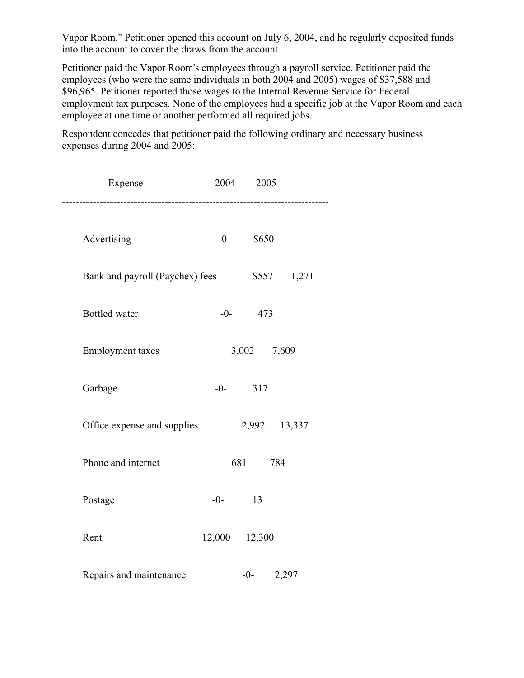Vapor Room." Petitioner opened this account on July 6, 2004, and he regularly deposited funds into the account to cover the draws from the account.

Petitioner paid the Vapor Room's employees through a payroll service. Petitioner paid the employees (who were the same individuals in both 2004 and 2005) wages of \$37,588 and \$96,965. Petitioner reported those wages to the Internal Revenue Service for Federal employment tax purposes. None of the employees had a specific job at the Vapor Room and each employee at one time or another performed all required jobs.

------------------------------------------------------------------------------ Expense 2004 2005 ------------------------------------------------------------------------------ Advertising  $-0$ - \$650 Bank and payroll (Paychex) fees \$557 1,271 Bottled water  $-0$ - 473 Employment taxes 3,002 7,609 Garbage  $-0$ - 317 Office expense and supplies 2,992 13,337 Phone and internet 681 784 Postage  $-0$ - 13 Rent 12,000 12,300 Repairs and maintenance  $-0$ - 2,297

Respondent concedes that petitioner paid the following ordinary and necessary business expenses during 2004 and 2005: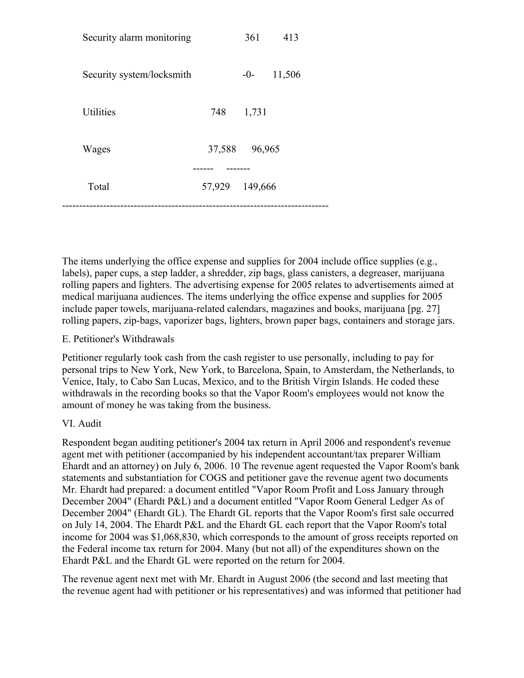| Security alarm monitoring |                | 361    | 413    |  |
|---------------------------|----------------|--------|--------|--|
| Security system/locksmith |                | $-0-$  | 11,506 |  |
| Utilities                 | 748            | 1,731  |        |  |
| Wages                     | 37,588         | 96,965 |        |  |
| Total                     | 57,929 149,666 |        |        |  |
|                           |                |        |        |  |

The items underlying the office expense and supplies for 2004 include office supplies (e.g., labels), paper cups, a step ladder, a shredder, zip bags, glass canisters, a degreaser, marijuana rolling papers and lighters. The advertising expense for 2005 relates to advertisements aimed at medical marijuana audiences. The items underlying the office expense and supplies for 2005 include paper towels, marijuana-related calendars, magazines and books, marijuana [pg. 27] rolling papers, zip-bags, vaporizer bags, lighters, brown paper bags, containers and storage jars.

#### E. Petitioner's Withdrawals

Petitioner regularly took cash from the cash register to use personally, including to pay for personal trips to New York, New York, to Barcelona, Spain, to Amsterdam, the Netherlands, to Venice, Italy, to Cabo San Lucas, Mexico, and to the British Virgin Islands. He coded these withdrawals in the recording books so that the Vapor Room's employees would not know the amount of money he was taking from the business.

#### VI. Audit

Respondent began auditing petitioner's 2004 tax return in April 2006 and respondent's revenue agent met with petitioner (accompanied by his independent accountant/tax preparer William Ehardt and an attorney) on July 6, 2006. 10 The revenue agent requested the Vapor Room's bank statements and substantiation for COGS and petitioner gave the revenue agent two documents Mr. Ehardt had prepared: a document entitled "Vapor Room Profit and Loss January through December 2004" (Ehardt P&L) and a document entitled "Vapor Room General Ledger As of December 2004" (Ehardt GL). The Ehardt GL reports that the Vapor Room's first sale occurred on July 14, 2004. The Ehardt P&L and the Ehardt GL each report that the Vapor Room's total income for 2004 was \$1,068,830, which corresponds to the amount of gross receipts reported on the Federal income tax return for 2004. Many (but not all) of the expenditures shown on the Ehardt P&L and the Ehardt GL were reported on the return for 2004.

The revenue agent next met with Mr. Ehardt in August 2006 (the second and last meeting that the revenue agent had with petitioner or his representatives) and was informed that petitioner had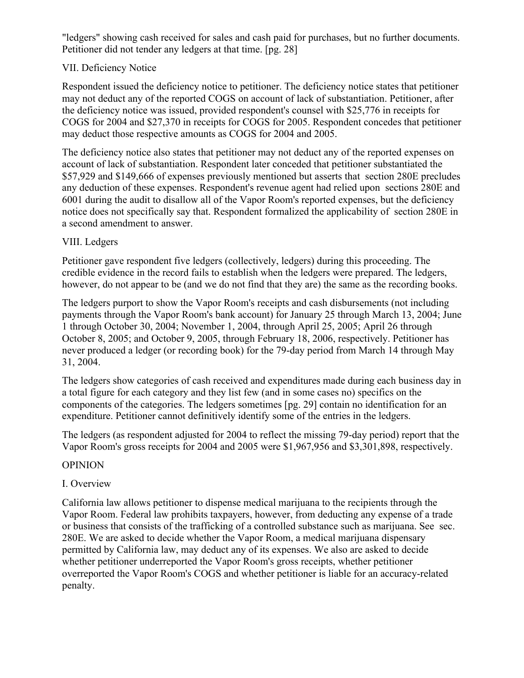"ledgers" showing cash received for sales and cash paid for purchases, but no further documents. Petitioner did not tender any ledgers at that time. [pg. 28]

### VII. Deficiency Notice

Respondent issued the deficiency notice to petitioner. The deficiency notice states that petitioner may not deduct any of the reported COGS on account of lack of substantiation. Petitioner, after the deficiency notice was issued, provided respondent's counsel with \$25,776 in receipts for COGS for 2004 and \$27,370 in receipts for COGS for 2005. Respondent concedes that petitioner may deduct those respective amounts as COGS for 2004 and 2005.

The deficiency notice also states that petitioner may not deduct any of the reported expenses on account of lack of substantiation. Respondent later conceded that petitioner substantiated the \$57,929 and \$149,666 of expenses previously mentioned but asserts that section 280E precludes any deduction of these expenses. Respondent's revenue agent had relied upon sections 280E and 6001 during the audit to disallow all of the Vapor Room's reported expenses, but the deficiency notice does not specifically say that. Respondent formalized the applicability of section 280E in a second amendment to answer.

## VIII. Ledgers

Petitioner gave respondent five ledgers (collectively, ledgers) during this proceeding. The credible evidence in the record fails to establish when the ledgers were prepared. The ledgers, however, do not appear to be (and we do not find that they are) the same as the recording books.

The ledgers purport to show the Vapor Room's receipts and cash disbursements (not including payments through the Vapor Room's bank account) for January 25 through March 13, 2004; June 1 through October 30, 2004; November 1, 2004, through April 25, 2005; April 26 through October 8, 2005; and October 9, 2005, through February 18, 2006, respectively. Petitioner has never produced a ledger (or recording book) for the 79-day period from March 14 through May 31, 2004.

The ledgers show categories of cash received and expenditures made during each business day in a total figure for each category and they list few (and in some cases no) specifics on the components of the categories. The ledgers sometimes [pg. 29] contain no identification for an expenditure. Petitioner cannot definitively identify some of the entries in the ledgers.

The ledgers (as respondent adjusted for 2004 to reflect the missing 79-day period) report that the Vapor Room's gross receipts for 2004 and 2005 were \$1,967,956 and \$3,301,898, respectively.

### OPINION

### I. Overview

California law allows petitioner to dispense medical marijuana to the recipients through the Vapor Room. Federal law prohibits taxpayers, however, from deducting any expense of a trade or business that consists of the trafficking of a controlled substance such as marijuana. See sec. 280E. We are asked to decide whether the Vapor Room, a medical marijuana dispensary permitted by California law, may deduct any of its expenses. We also are asked to decide whether petitioner underreported the Vapor Room's gross receipts, whether petitioner overreported the Vapor Room's COGS and whether petitioner is liable for an accuracy-related penalty.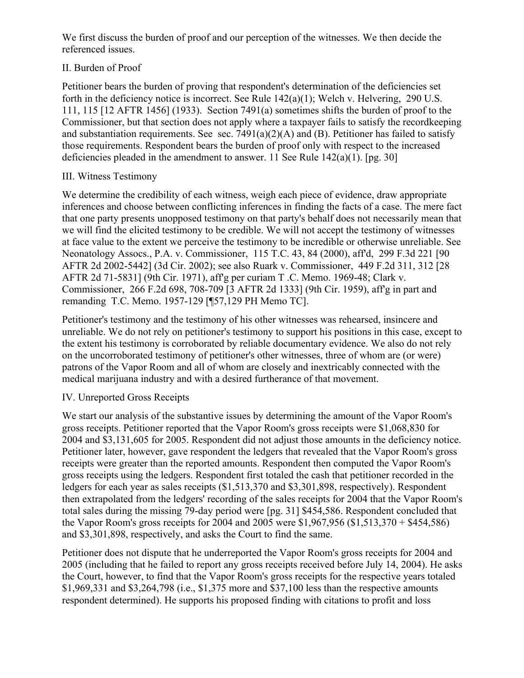We first discuss the burden of proof and our perception of the witnesses. We then decide the referenced issues.

## II. Burden of Proof

Petitioner bears the burden of proving that respondent's determination of the deficiencies set forth in the deficiency notice is incorrect. See Rule 142(a)(1); Welch v. Helvering, 290 U.S. 111, 115 [12 AFTR 1456] (1933). Section 7491(a) sometimes shifts the burden of proof to the Commissioner, but that section does not apply where a taxpayer fails to satisfy the recordkeeping and substantiation requirements. See sec.  $7491(a)(2)(A)$  and (B). Petitioner has failed to satisfy those requirements. Respondent bears the burden of proof only with respect to the increased deficiencies pleaded in the amendment to answer. 11 See Rule  $142(a)(1)$ . [pg. 30]

## III. Witness Testimony

We determine the credibility of each witness, weigh each piece of evidence, draw appropriate inferences and choose between conflicting inferences in finding the facts of a case. The mere fact that one party presents unopposed testimony on that party's behalf does not necessarily mean that we will find the elicited testimony to be credible. We will not accept the testimony of witnesses at face value to the extent we perceive the testimony to be incredible or otherwise unreliable. See Neonatology Assocs., P.A. v. Commissioner, 115 T.C. 43, 84 (2000), aff'd, 299 F.3d 221 [90 AFTR 2d 2002-5442] (3d Cir. 2002); see also Ruark v. Commissioner, 449 F.2d 311, 312 [28 AFTR 2d 71-5831] (9th Cir. 1971), aff'g per curiam T .C. Memo. 1969-48; Clark v. Commissioner, 266 F.2d 698, 708-709 [3 AFTR 2d 1333] (9th Cir. 1959), aff'g in part and remanding T.C. Memo. 1957-129 [¶57,129 PH Memo TC].

Petitioner's testimony and the testimony of his other witnesses was rehearsed, insincere and unreliable. We do not rely on petitioner's testimony to support his positions in this case, except to the extent his testimony is corroborated by reliable documentary evidence. We also do not rely on the uncorroborated testimony of petitioner's other witnesses, three of whom are (or were) patrons of the Vapor Room and all of whom are closely and inextricably connected with the medical marijuana industry and with a desired furtherance of that movement.

## IV. Unreported Gross Receipts

We start our analysis of the substantive issues by determining the amount of the Vapor Room's gross receipts. Petitioner reported that the Vapor Room's gross receipts were \$1,068,830 for 2004 and \$3,131,605 for 2005. Respondent did not adjust those amounts in the deficiency notice. Petitioner later, however, gave respondent the ledgers that revealed that the Vapor Room's gross receipts were greater than the reported amounts. Respondent then computed the Vapor Room's gross receipts using the ledgers. Respondent first totaled the cash that petitioner recorded in the ledgers for each year as sales receipts (\$1,513,370 and \$3,301,898, respectively). Respondent then extrapolated from the ledgers' recording of the sales receipts for 2004 that the Vapor Room's total sales during the missing 79-day period were [pg. 31] \$454,586. Respondent concluded that the Vapor Room's gross receipts for 2004 and 2005 were \$1,967,956 (\$1,513,370 + \$454,586) and \$3,301,898, respectively, and asks the Court to find the same.

Petitioner does not dispute that he underreported the Vapor Room's gross receipts for 2004 and 2005 (including that he failed to report any gross receipts received before July 14, 2004). He asks the Court, however, to find that the Vapor Room's gross receipts for the respective years totaled \$1,969,331 and \$3,264,798 (i.e., \$1,375 more and \$37,100 less than the respective amounts respondent determined). He supports his proposed finding with citations to profit and loss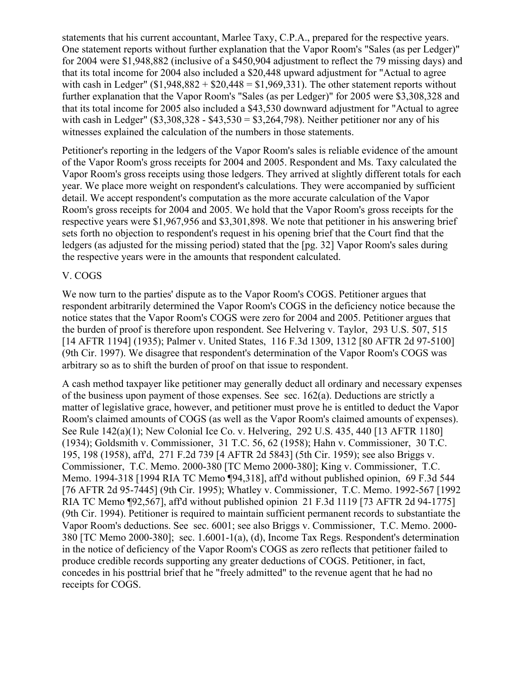statements that his current accountant, Marlee Taxy, C.P.A., prepared for the respective years. One statement reports without further explanation that the Vapor Room's "Sales (as per Ledger)" for 2004 were \$1,948,882 (inclusive of a \$450,904 adjustment to reflect the 79 missing days) and that its total income for 2004 also included a \$20,448 upward adjustment for "Actual to agree with cash in Ledger"  $$1,948,882 + $20,448 = $1,969,331$ . The other statement reports without further explanation that the Vapor Room's "Sales (as per Ledger)" for 2005 were \$3,308,328 and that its total income for 2005 also included a \$43,530 downward adjustment for "Actual to agree with cash in Ledger"  $(\$3,308,328 - \$43,530 = \$3,264,798)$ . Neither petitioner nor any of his witnesses explained the calculation of the numbers in those statements.

Petitioner's reporting in the ledgers of the Vapor Room's sales is reliable evidence of the amount of the Vapor Room's gross receipts for 2004 and 2005. Respondent and Ms. Taxy calculated the Vapor Room's gross receipts using those ledgers. They arrived at slightly different totals for each year. We place more weight on respondent's calculations. They were accompanied by sufficient detail. We accept respondent's computation as the more accurate calculation of the Vapor Room's gross receipts for 2004 and 2005. We hold that the Vapor Room's gross receipts for the respective years were \$1,967,956 and \$3,301,898. We note that petitioner in his answering brief sets forth no objection to respondent's request in his opening brief that the Court find that the ledgers (as adjusted for the missing period) stated that the [pg. 32] Vapor Room's sales during the respective years were in the amounts that respondent calculated.

### V. COGS

We now turn to the parties' dispute as to the Vapor Room's COGS. Petitioner argues that respondent arbitrarily determined the Vapor Room's COGS in the deficiency notice because the notice states that the Vapor Room's COGS were zero for 2004 and 2005. Petitioner argues that the burden of proof is therefore upon respondent. See Helvering v. Taylor, 293 U.S. 507, 515 [14 AFTR 1194] (1935); Palmer v. United States, 116 F.3d 1309, 1312 [80 AFTR 2d 97-5100] (9th Cir. 1997). We disagree that respondent's determination of the Vapor Room's COGS was arbitrary so as to shift the burden of proof on that issue to respondent.

A cash method taxpayer like petitioner may generally deduct all ordinary and necessary expenses of the business upon payment of those expenses. See sec. 162(a). Deductions are strictly a matter of legislative grace, however, and petitioner must prove he is entitled to deduct the Vapor Room's claimed amounts of COGS (as well as the Vapor Room's claimed amounts of expenses). See Rule 142(a)(1); New Colonial Ice Co. v. Helvering, 292 U.S. 435, 440 [13 AFTR 1180] (1934); Goldsmith v. Commissioner, 31 T.C. 56, 62 (1958); Hahn v. Commissioner, 30 T.C. 195, 198 (1958), aff'd, 271 F.2d 739 [4 AFTR 2d 5843] (5th Cir. 1959); see also Briggs v. Commissioner, T.C. Memo. 2000-380 [TC Memo 2000-380]; King v. Commissioner, T.C. Memo. 1994-318 [1994 RIA TC Memo ¶94,318], aff'd without published opinion, 69 F.3d 544 [76 AFTR 2d 95-7445] (9th Cir. 1995); Whatley v. Commissioner, T.C. Memo. 1992-567 [1992 RIA TC Memo ¶92,567], aff'd without published opinion 21 F.3d 1119 [73 AFTR 2d 94-1775] (9th Cir. 1994). Petitioner is required to maintain sufficient permanent records to substantiate the Vapor Room's deductions. See sec. 6001; see also Briggs v. Commissioner, T.C. Memo. 2000- 380 [TC Memo 2000-380]; sec. 1.6001-1(a), (d), Income Tax Regs. Respondent's determination in the notice of deficiency of the Vapor Room's COGS as zero reflects that petitioner failed to produce credible records supporting any greater deductions of COGS. Petitioner, in fact, concedes in his posttrial brief that he "freely admitted" to the revenue agent that he had no receipts for COGS.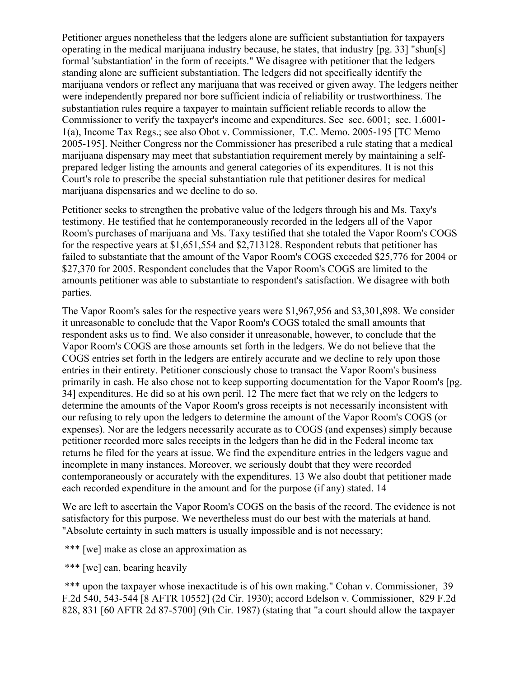Petitioner argues nonetheless that the ledgers alone are sufficient substantiation for taxpayers operating in the medical marijuana industry because, he states, that industry [pg. 33] "shun[s] formal 'substantiation' in the form of receipts." We disagree with petitioner that the ledgers standing alone are sufficient substantiation. The ledgers did not specifically identify the marijuana vendors or reflect any marijuana that was received or given away. The ledgers neither were independently prepared nor bore sufficient indicia of reliability or trustworthiness. The substantiation rules require a taxpayer to maintain sufficient reliable records to allow the Commissioner to verify the taxpayer's income and expenditures. See sec. 6001; sec. 1.6001- 1(a), Income Tax Regs.; see also Obot v. Commissioner, T.C. Memo. 2005-195 [TC Memo 2005-195]. Neither Congress nor the Commissioner has prescribed a rule stating that a medical marijuana dispensary may meet that substantiation requirement merely by maintaining a selfprepared ledger listing the amounts and general categories of its expenditures. It is not this Court's role to prescribe the special substantiation rule that petitioner desires for medical marijuana dispensaries and we decline to do so.

Petitioner seeks to strengthen the probative value of the ledgers through his and Ms. Taxy's testimony. He testified that he contemporaneously recorded in the ledgers all of the Vapor Room's purchases of marijuana and Ms. Taxy testified that she totaled the Vapor Room's COGS for the respective years at \$1,651,554 and \$2,713128. Respondent rebuts that petitioner has failed to substantiate that the amount of the Vapor Room's COGS exceeded \$25,776 for 2004 or \$27,370 for 2005. Respondent concludes that the Vapor Room's COGS are limited to the amounts petitioner was able to substantiate to respondent's satisfaction. We disagree with both parties.

The Vapor Room's sales for the respective years were \$1,967,956 and \$3,301,898. We consider it unreasonable to conclude that the Vapor Room's COGS totaled the small amounts that respondent asks us to find. We also consider it unreasonable, however, to conclude that the Vapor Room's COGS are those amounts set forth in the ledgers. We do not believe that the COGS entries set forth in the ledgers are entirely accurate and we decline to rely upon those entries in their entirety. Petitioner consciously chose to transact the Vapor Room's business primarily in cash. He also chose not to keep supporting documentation for the Vapor Room's [pg. 34] expenditures. He did so at his own peril. 12 The mere fact that we rely on the ledgers to determine the amounts of the Vapor Room's gross receipts is not necessarily inconsistent with our refusing to rely upon the ledgers to determine the amount of the Vapor Room's COGS (or expenses). Nor are the ledgers necessarily accurate as to COGS (and expenses) simply because petitioner recorded more sales receipts in the ledgers than he did in the Federal income tax returns he filed for the years at issue. We find the expenditure entries in the ledgers vague and incomplete in many instances. Moreover, we seriously doubt that they were recorded contemporaneously or accurately with the expenditures. 13 We also doubt that petitioner made each recorded expenditure in the amount and for the purpose (if any) stated. 14

We are left to ascertain the Vapor Room's COGS on the basis of the record. The evidence is not satisfactory for this purpose. We nevertheless must do our best with the materials at hand. "Absolute certainty in such matters is usually impossible and is not necessary;

\*\*\* [we] make as close an approximation as

\*\*\* [we] can, bearing heavily

\*\*\* upon the taxpayer whose inexactitude is of his own making." Cohan v. Commissioner, 39 F.2d 540, 543-544 [8 AFTR 10552] (2d Cir. 1930); accord Edelson v. Commissioner, 829 F.2d 828, 831 [60 AFTR 2d 87-5700] (9th Cir. 1987) (stating that "a court should allow the taxpayer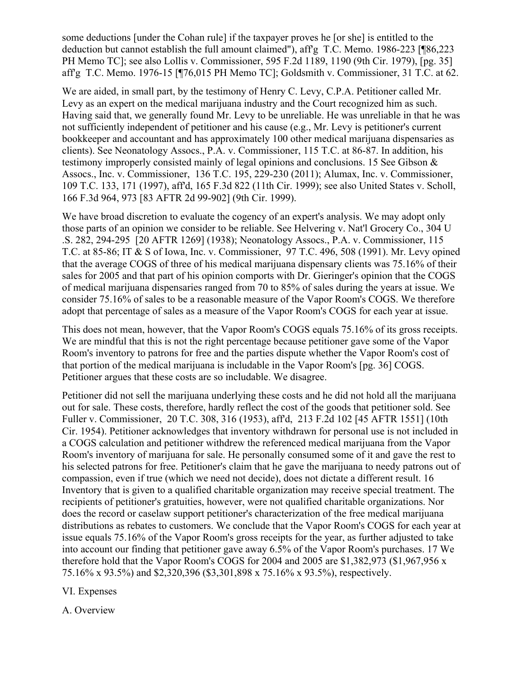some deductions [under the Cohan rule] if the taxpayer proves he [or she] is entitled to the deduction but cannot establish the full amount claimed"), aff'g T.C. Memo. 1986-223 [¶86,223] PH Memo TC]; see also Lollis v. Commissioner, 595 F.2d 1189, 1190 (9th Cir. 1979), [pg. 35] aff'g T.C. Memo. 1976-15 [¶76,015 PH Memo TC]; Goldsmith v. Commissioner, 31 T.C. at 62.

We are aided, in small part, by the testimony of Henry C. Levy, C.P.A. Petitioner called Mr. Levy as an expert on the medical marijuana industry and the Court recognized him as such. Having said that, we generally found Mr. Levy to be unreliable. He was unreliable in that he was not sufficiently independent of petitioner and his cause (e.g., Mr. Levy is petitioner's current bookkeeper and accountant and has approximately 100 other medical marijuana dispensaries as clients). See Neonatology Assocs., P.A. v. Commissioner, 115 T.C. at 86-87. In addition, his testimony improperly consisted mainly of legal opinions and conclusions. 15 See Gibson & Assocs., Inc. v. Commissioner, 136 T.C. 195, 229-230 (2011); Alumax, Inc. v. Commissioner, 109 T.C. 133, 171 (1997), aff'd, 165 F.3d 822 (11th Cir. 1999); see also United States v. Scholl, 166 F.3d 964, 973 [83 AFTR 2d 99-902] (9th Cir. 1999).

We have broad discretion to evaluate the cogency of an expert's analysis. We may adopt only those parts of an opinion we consider to be reliable. See Helvering v. Nat'l Grocery Co., 304 U .S. 282, 294-295 [20 AFTR 1269] (1938); Neonatology Assocs., P.A. v. Commissioner, 115 T.C. at 85-86; IT & S of Iowa, Inc. v. Commissioner, 97 T.C. 496, 508 (1991). Mr. Levy opined that the average COGS of three of his medical marijuana dispensary clients was 75.16% of their sales for 2005 and that part of his opinion comports with Dr. Gieringer's opinion that the COGS of medical marijuana dispensaries ranged from 70 to 85% of sales during the years at issue. We consider 75.16% of sales to be a reasonable measure of the Vapor Room's COGS. We therefore adopt that percentage of sales as a measure of the Vapor Room's COGS for each year at issue.

This does not mean, however, that the Vapor Room's COGS equals 75.16% of its gross receipts. We are mindful that this is not the right percentage because petitioner gave some of the Vapor Room's inventory to patrons for free and the parties dispute whether the Vapor Room's cost of that portion of the medical marijuana is includable in the Vapor Room's [pg. 36] COGS. Petitioner argues that these costs are so includable. We disagree.

Petitioner did not sell the marijuana underlying these costs and he did not hold all the marijuana out for sale. These costs, therefore, hardly reflect the cost of the goods that petitioner sold. See Fuller v. Commissioner, 20 T.C. 308, 316 (1953), aff'd, 213 F.2d 102 [45 AFTR 1551] (10th Cir. 1954). Petitioner acknowledges that inventory withdrawn for personal use is not included in a COGS calculation and petitioner withdrew the referenced medical marijuana from the Vapor Room's inventory of marijuana for sale. He personally consumed some of it and gave the rest to his selected patrons for free. Petitioner's claim that he gave the marijuana to needy patrons out of compassion, even if true (which we need not decide), does not dictate a different result. 16 Inventory that is given to a qualified charitable organization may receive special treatment. The recipients of petitioner's gratuities, however, were not qualified charitable organizations. Nor does the record or caselaw support petitioner's characterization of the free medical marijuana distributions as rebates to customers. We conclude that the Vapor Room's COGS for each year at issue equals 75.16% of the Vapor Room's gross receipts for the year, as further adjusted to take into account our finding that petitioner gave away 6.5% of the Vapor Room's purchases. 17 We therefore hold that the Vapor Room's COGS for 2004 and 2005 are \$1,382,973 (\$1,967,956 x 75.16% x 93.5%) and \$2,320,396 (\$3,301,898 x 75.16% x 93.5%), respectively.

VI. Expenses

A. Overview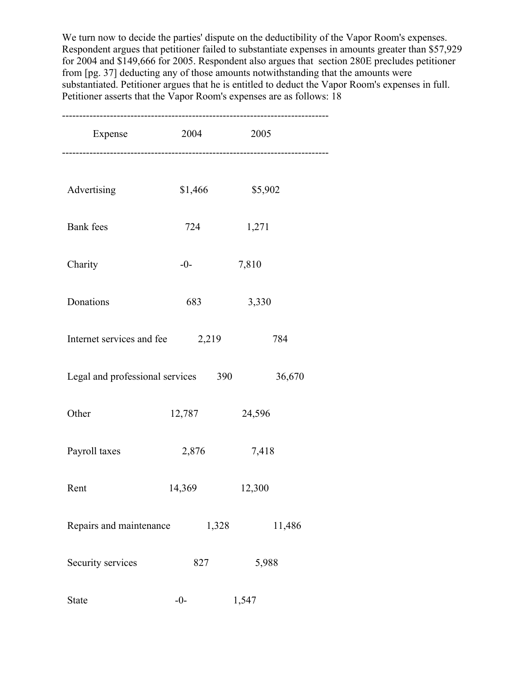We turn now to decide the parties' dispute on the deductibility of the Vapor Room's expenses. Respondent argues that petitioner failed to substantiate expenses in amounts greater than \$57,929 for 2004 and \$149,666 for 2005. Respondent also argues that section 280E precludes petitioner from [pg. 37] deducting any of those amounts notwithstanding that the amounts were substantiated. Petitioner argues that he is entitled to deduct the Vapor Room's expenses in full. Petitioner asserts that the Vapor Room's expenses are as follows: 18

| Expense                                       | 2004    | 2005            |  |
|-----------------------------------------------|---------|-----------------|--|
|                                               |         |                 |  |
| Advertising                                   | \$1,466 | \$5,902         |  |
| <b>Bank</b> fees                              | 724     | 1,271           |  |
| Charity                                       | $-0-$   | 7,810           |  |
| Donations                                     | 683     | 3,330           |  |
| Internet services and fee                     | 2,219   | 784             |  |
| Legal and professional services 390<br>36,670 |         |                 |  |
| Other                                         | 12,787  | 24,596          |  |
| Payroll taxes                                 | 2,876   | 7,418           |  |
| Rent                                          | 14,369  | 12,300          |  |
| Repairs and maintenance                       |         | 1,328<br>11,486 |  |
| Security services                             | 827     | 5,988           |  |
| State                                         | $-0-$   | 1,547           |  |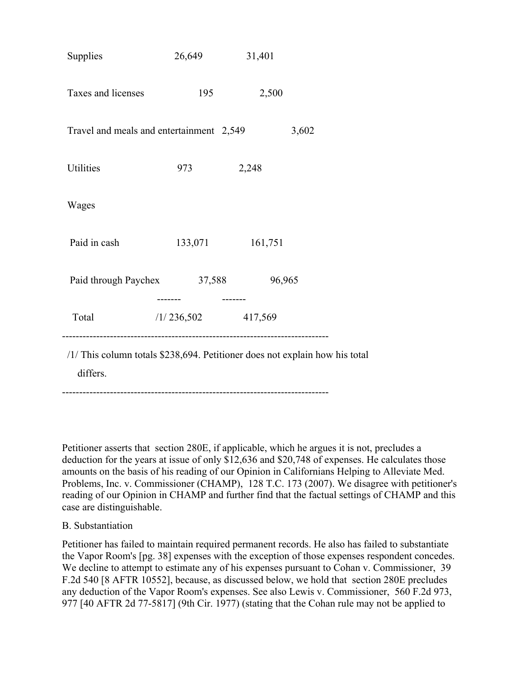| <b>Supplies</b>                                                                         | 26,649     | 31,401  |  |
|-----------------------------------------------------------------------------------------|------------|---------|--|
| Taxes and licenses                                                                      | 195        | 2,500   |  |
| Travel and meals and entertainment 2,549<br>3,602                                       |            |         |  |
| Utilities                                                                               | 973        | 2,248   |  |
| Wages                                                                                   |            |         |  |
| Paid in cash                                                                            | 133,071    | 161,751 |  |
| Paid through Paychex                                                                    | 37,588     | 96,965  |  |
| Total                                                                                   | /1/236,502 | 417,569 |  |
| /1/ This column totals \$238,694. Petitioner does not explain how his total<br>differs. |            |         |  |

------------------------------------------------------------------------------

Petitioner asserts that section 280E, if applicable, which he argues it is not, precludes a deduction for the years at issue of only \$12,636 and \$20,748 of expenses. He calculates those amounts on the basis of his reading of our Opinion in Californians Helping to Alleviate Med. Problems, Inc. v. Commissioner (CHAMP), 128 T.C. 173 (2007). We disagree with petitioner's reading of our Opinion in CHAMP and further find that the factual settings of CHAMP and this case are distinguishable.

### B. Substantiation

Petitioner has failed to maintain required permanent records. He also has failed to substantiate the Vapor Room's [pg. 38] expenses with the exception of those expenses respondent concedes. We decline to attempt to estimate any of his expenses pursuant to Cohan v. Commissioner, 39 F.2d 540 [8 AFTR 10552], because, as discussed below, we hold that section 280E precludes any deduction of the Vapor Room's expenses. See also Lewis v. Commissioner, 560 F.2d 973, 977 [40 AFTR 2d 77-5817] (9th Cir. 1977) (stating that the Cohan rule may not be applied to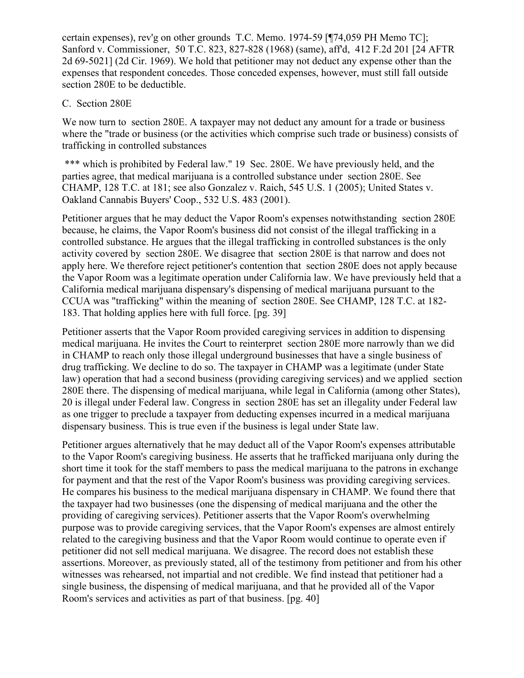certain expenses), rev'g on other grounds T.C. Memo. 1974-59 [¶74,059 PH Memo TC]; Sanford v. Commissioner, 50 T.C. 823, 827-828 (1968) (same), aff'd, 412 F.2d 201 [24 AFTR 2d 69-5021] (2d Cir. 1969). We hold that petitioner may not deduct any expense other than the expenses that respondent concedes. Those conceded expenses, however, must still fall outside section 280E to be deductible.

#### C. Section 280E

We now turn to section 280E. A taxpayer may not deduct any amount for a trade or business where the "trade or business (or the activities which comprise such trade or business) consists of trafficking in controlled substances

\*\*\* which is prohibited by Federal law." 19 Sec. 280E. We have previously held, and the parties agree, that medical marijuana is a controlled substance under section 280E. See CHAMP, 128 T.C. at 181; see also Gonzalez v. Raich, 545 U.S. 1 (2005); United States v. Oakland Cannabis Buyers' Coop., 532 U.S. 483 (2001).

Petitioner argues that he may deduct the Vapor Room's expenses notwithstanding section 280E because, he claims, the Vapor Room's business did not consist of the illegal trafficking in a controlled substance. He argues that the illegal trafficking in controlled substances is the only activity covered by section 280E. We disagree that section 280E is that narrow and does not apply here. We therefore reject petitioner's contention that section 280E does not apply because the Vapor Room was a legitimate operation under California law. We have previously held that a California medical marijuana dispensary's dispensing of medical marijuana pursuant to the CCUA was "trafficking" within the meaning of section 280E. See CHAMP, 128 T.C. at 182- 183. That holding applies here with full force. [pg. 39]

Petitioner asserts that the Vapor Room provided caregiving services in addition to dispensing medical marijuana. He invites the Court to reinterpret section 280E more narrowly than we did in CHAMP to reach only those illegal underground businesses that have a single business of drug trafficking. We decline to do so. The taxpayer in CHAMP was a legitimate (under State law) operation that had a second business (providing caregiving services) and we applied section 280E there. The dispensing of medical marijuana, while legal in California (among other States), 20 is illegal under Federal law. Congress in section 280E has set an illegality under Federal law as one trigger to preclude a taxpayer from deducting expenses incurred in a medical marijuana dispensary business. This is true even if the business is legal under State law.

Petitioner argues alternatively that he may deduct all of the Vapor Room's expenses attributable to the Vapor Room's caregiving business. He asserts that he trafficked marijuana only during the short time it took for the staff members to pass the medical marijuana to the patrons in exchange for payment and that the rest of the Vapor Room's business was providing caregiving services. He compares his business to the medical marijuana dispensary in CHAMP. We found there that the taxpayer had two businesses (one the dispensing of medical marijuana and the other the providing of caregiving services). Petitioner asserts that the Vapor Room's overwhelming purpose was to provide caregiving services, that the Vapor Room's expenses are almost entirely related to the caregiving business and that the Vapor Room would continue to operate even if petitioner did not sell medical marijuana. We disagree. The record does not establish these assertions. Moreover, as previously stated, all of the testimony from petitioner and from his other witnesses was rehearsed, not impartial and not credible. We find instead that petitioner had a single business, the dispensing of medical marijuana, and that he provided all of the Vapor Room's services and activities as part of that business. [pg. 40]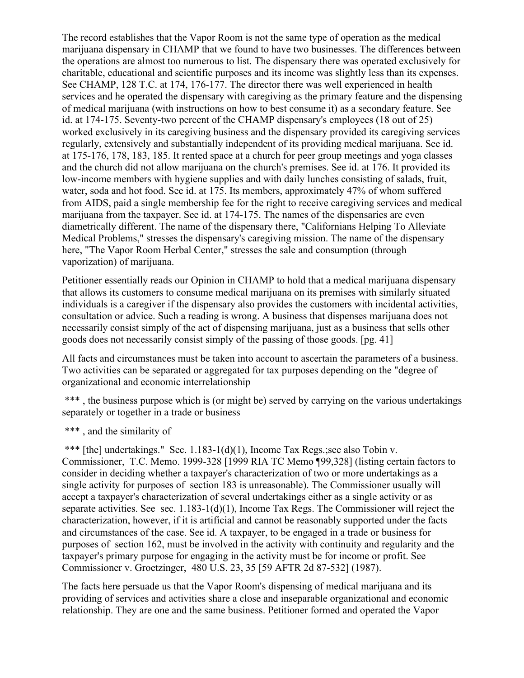The record establishes that the Vapor Room is not the same type of operation as the medical marijuana dispensary in CHAMP that we found to have two businesses. The differences between the operations are almost too numerous to list. The dispensary there was operated exclusively for charitable, educational and scientific purposes and its income was slightly less than its expenses. See CHAMP, 128 T.C. at 174, 176-177. The director there was well experienced in health services and he operated the dispensary with caregiving as the primary feature and the dispensing of medical marijuana (with instructions on how to best consume it) as a secondary feature. See id. at 174-175. Seventy-two percent of the CHAMP dispensary's employees (18 out of 25) worked exclusively in its caregiving business and the dispensary provided its caregiving services regularly, extensively and substantially independent of its providing medical marijuana. See id. at 175-176, 178, 183, 185. It rented space at a church for peer group meetings and yoga classes and the church did not allow marijuana on the church's premises. See id. at 176. It provided its low-income members with hygiene supplies and with daily lunches consisting of salads, fruit, water, soda and hot food. See id. at 175. Its members, approximately 47% of whom suffered from AIDS, paid a single membership fee for the right to receive caregiving services and medical marijuana from the taxpayer. See id. at 174-175. The names of the dispensaries are even diametrically different. The name of the dispensary there, "Californians Helping To Alleviate Medical Problems," stresses the dispensary's caregiving mission. The name of the dispensary here, "The Vapor Room Herbal Center," stresses the sale and consumption (through vaporization) of marijuana.

Petitioner essentially reads our Opinion in CHAMP to hold that a medical marijuana dispensary that allows its customers to consume medical marijuana on its premises with similarly situated individuals is a caregiver if the dispensary also provides the customers with incidental activities, consultation or advice. Such a reading is wrong. A business that dispenses marijuana does not necessarily consist simply of the act of dispensing marijuana, just as a business that sells other goods does not necessarily consist simply of the passing of those goods. [pg. 41]

All facts and circumstances must be taken into account to ascertain the parameters of a business. Two activities can be separated or aggregated for tax purposes depending on the "degree of organizational and economic interrelationship

\*\*\*, the business purpose which is (or might be) served by carrying on the various undertakings separately or together in a trade or business

\*\*\*, and the similarity of

\*\*\* [the] undertakings." Sec. 1.183-1(d)(1), Income Tax Regs.;see also Tobin v. Commissioner, T.C. Memo. 1999-328 [1999 RIA TC Memo ¶99,328] (listing certain factors to consider in deciding whether a taxpayer's characterization of two or more undertakings as a single activity for purposes of section 183 is unreasonable). The Commissioner usually will accept a taxpayer's characterization of several undertakings either as a single activity or as separate activities. See sec. 1.183-1(d)(1), Income Tax Regs. The Commissioner will reject the characterization, however, if it is artificial and cannot be reasonably supported under the facts and circumstances of the case. See id. A taxpayer, to be engaged in a trade or business for purposes of section 162, must be involved in the activity with continuity and regularity and the taxpayer's primary purpose for engaging in the activity must be for income or profit. See Commissioner v. Groetzinger, 480 U.S. 23, 35 [59 AFTR 2d 87-532] (1987).

The facts here persuade us that the Vapor Room's dispensing of medical marijuana and its providing of services and activities share a close and inseparable organizational and economic relationship. They are one and the same business. Petitioner formed and operated the Vapor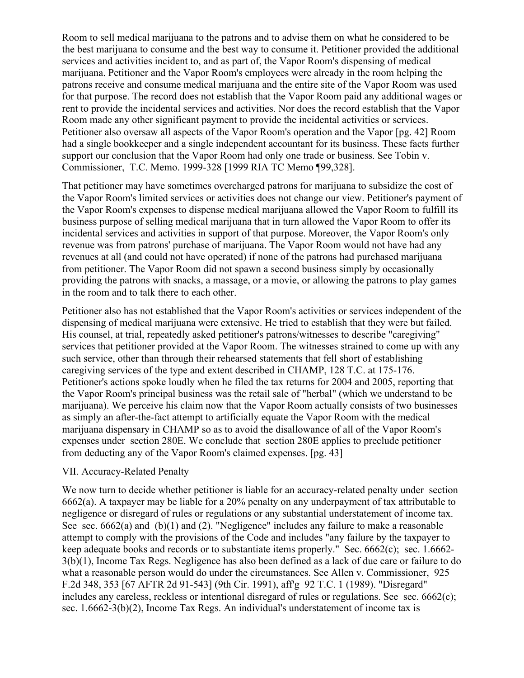Room to sell medical marijuana to the patrons and to advise them on what he considered to be the best marijuana to consume and the best way to consume it. Petitioner provided the additional services and activities incident to, and as part of, the Vapor Room's dispensing of medical marijuana. Petitioner and the Vapor Room's employees were already in the room helping the patrons receive and consume medical marijuana and the entire site of the Vapor Room was used for that purpose. The record does not establish that the Vapor Room paid any additional wages or rent to provide the incidental services and activities. Nor does the record establish that the Vapor Room made any other significant payment to provide the incidental activities or services. Petitioner also oversaw all aspects of the Vapor Room's operation and the Vapor [pg. 42] Room had a single bookkeeper and a single independent accountant for its business. These facts further support our conclusion that the Vapor Room had only one trade or business. See Tobin v. Commissioner, T.C. Memo. 1999-328 [1999 RIA TC Memo ¶99,328].

That petitioner may have sometimes overcharged patrons for marijuana to subsidize the cost of the Vapor Room's limited services or activities does not change our view. Petitioner's payment of the Vapor Room's expenses to dispense medical marijuana allowed the Vapor Room to fulfill its business purpose of selling medical marijuana that in turn allowed the Vapor Room to offer its incidental services and activities in support of that purpose. Moreover, the Vapor Room's only revenue was from patrons' purchase of marijuana. The Vapor Room would not have had any revenues at all (and could not have operated) if none of the patrons had purchased marijuana from petitioner. The Vapor Room did not spawn a second business simply by occasionally providing the patrons with snacks, a massage, or a movie, or allowing the patrons to play games in the room and to talk there to each other.

Petitioner also has not established that the Vapor Room's activities or services independent of the dispensing of medical marijuana were extensive. He tried to establish that they were but failed. His counsel, at trial, repeatedly asked petitioner's patrons/witnesses to describe "caregiving" services that petitioner provided at the Vapor Room. The witnesses strained to come up with any such service, other than through their rehearsed statements that fell short of establishing caregiving services of the type and extent described in CHAMP, 128 T.C. at 175-176. Petitioner's actions spoke loudly when he filed the tax returns for 2004 and 2005, reporting that the Vapor Room's principal business was the retail sale of "herbal" (which we understand to be marijuana). We perceive his claim now that the Vapor Room actually consists of two businesses as simply an after-the-fact attempt to artificially equate the Vapor Room with the medical marijuana dispensary in CHAMP so as to avoid the disallowance of all of the Vapor Room's expenses under section 280E. We conclude that section 280E applies to preclude petitioner from deducting any of the Vapor Room's claimed expenses. [pg. 43]

#### VII. Accuracy-Related Penalty

We now turn to decide whether petitioner is liable for an accuracy-related penalty under section 6662(a). A taxpayer may be liable for a 20% penalty on any underpayment of tax attributable to negligence or disregard of rules or regulations or any substantial understatement of income tax. See sec. 6662(a) and (b)(1) and (2). "Negligence" includes any failure to make a reasonable attempt to comply with the provisions of the Code and includes "any failure by the taxpayer to keep adequate books and records or to substantiate items properly." Sec. 6662(c); sec. 1.6662- 3(b)(1), Income Tax Regs. Negligence has also been defined as a lack of due care or failure to do what a reasonable person would do under the circumstances. See Allen v. Commissioner, 925 F.2d 348, 353 [67 AFTR 2d 91-543] (9th Cir. 1991), aff'g 92 T.C. 1 (1989). "Disregard" includes any careless, reckless or intentional disregard of rules or regulations. See sec. 6662(c); sec. 1.6662-3(b)(2), Income Tax Regs. An individual's understatement of income tax is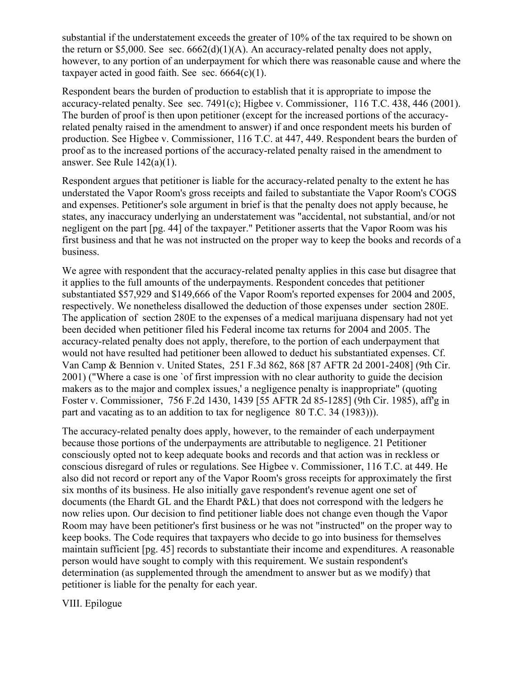substantial if the understatement exceeds the greater of 10% of the tax required to be shown on the return or \$5,000. See sec.  $6662(d)(1)(A)$ . An accuracy-related penalty does not apply, however, to any portion of an underpayment for which there was reasonable cause and where the taxpayer acted in good faith. See sec. 6664(c)(1).

Respondent bears the burden of production to establish that it is appropriate to impose the accuracy-related penalty. See sec. 7491(c); Higbee v. Commissioner, 116 T.C. 438, 446 (2001). The burden of proof is then upon petitioner (except for the increased portions of the accuracyrelated penalty raised in the amendment to answer) if and once respondent meets his burden of production. See Higbee v. Commissioner, 116 T.C. at 447, 449. Respondent bears the burden of proof as to the increased portions of the accuracy-related penalty raised in the amendment to answer. See Rule 142(a)(1).

Respondent argues that petitioner is liable for the accuracy-related penalty to the extent he has understated the Vapor Room's gross receipts and failed to substantiate the Vapor Room's COGS and expenses. Petitioner's sole argument in brief is that the penalty does not apply because, he states, any inaccuracy underlying an understatement was "accidental, not substantial, and/or not negligent on the part [pg. 44] of the taxpayer." Petitioner asserts that the Vapor Room was his first business and that he was not instructed on the proper way to keep the books and records of a business.

We agree with respondent that the accuracy-related penalty applies in this case but disagree that it applies to the full amounts of the underpayments. Respondent concedes that petitioner substantiated \$57,929 and \$149,666 of the Vapor Room's reported expenses for 2004 and 2005, respectively. We nonetheless disallowed the deduction of those expenses under section 280E. The application of section 280E to the expenses of a medical marijuana dispensary had not yet been decided when petitioner filed his Federal income tax returns for 2004 and 2005. The accuracy-related penalty does not apply, therefore, to the portion of each underpayment that would not have resulted had petitioner been allowed to deduct his substantiated expenses. Cf. Van Camp & Bennion v. United States, 251 F.3d 862, 868 [87 AFTR 2d 2001-2408] (9th Cir. 2001) ("Where a case is one `of first impression with no clear authority to guide the decision makers as to the major and complex issues,' a negligence penalty is inappropriate" (quoting Foster v. Commissioner, 756 F.2d 1430, 1439 [55 AFTR 2d 85-1285] (9th Cir. 1985), aff'g in part and vacating as to an addition to tax for negligence 80 T.C. 34 (1983))).

The accuracy-related penalty does apply, however, to the remainder of each underpayment because those portions of the underpayments are attributable to negligence. 21 Petitioner consciously opted not to keep adequate books and records and that action was in reckless or conscious disregard of rules or regulations. See Higbee v. Commissioner, 116 T.C. at 449. He also did not record or report any of the Vapor Room's gross receipts for approximately the first six months of its business. He also initially gave respondent's revenue agent one set of documents (the Ehardt GL and the Ehardt P&L) that does not correspond with the ledgers he now relies upon. Our decision to find petitioner liable does not change even though the Vapor Room may have been petitioner's first business or he was not "instructed" on the proper way to keep books. The Code requires that taxpayers who decide to go into business for themselves maintain sufficient [pg. 45] records to substantiate their income and expenditures. A reasonable person would have sought to comply with this requirement. We sustain respondent's determination (as supplemented through the amendment to answer but as we modify) that petitioner is liable for the penalty for each year.

VIII. Epilogue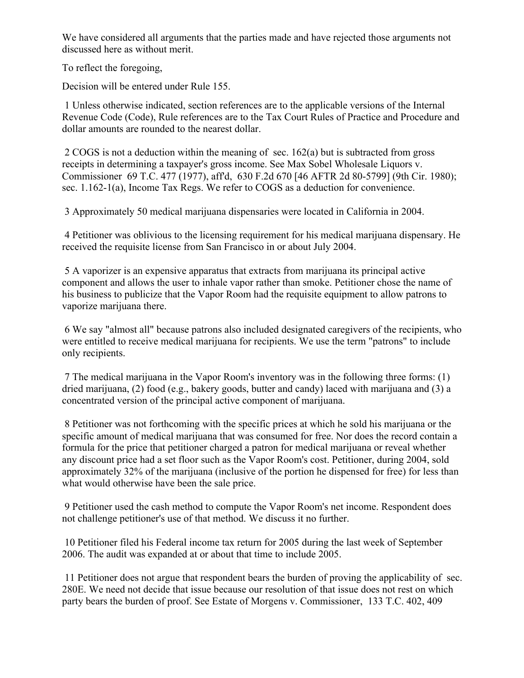We have considered all arguments that the parties made and have rejected those arguments not discussed here as without merit.

To reflect the foregoing,

Decision will be entered under Rule 155.

1 Unless otherwise indicated, section references are to the applicable versions of the Internal Revenue Code (Code), Rule references are to the Tax Court Rules of Practice and Procedure and dollar amounts are rounded to the nearest dollar.

2 COGS is not a deduction within the meaning of sec. 162(a) but is subtracted from gross receipts in determining a taxpayer's gross income. See Max Sobel Wholesale Liquors v. Commissioner 69 T.C. 477 (1977), aff'd, 630 F.2d 670 [46 AFTR 2d 80-5799] (9th Cir. 1980); sec. 1.162-1(a), Income Tax Regs. We refer to COGS as a deduction for convenience.

3 Approximately 50 medical marijuana dispensaries were located in California in 2004.

4 Petitioner was oblivious to the licensing requirement for his medical marijuana dispensary. He received the requisite license from San Francisco in or about July 2004.

5 A vaporizer is an expensive apparatus that extracts from marijuana its principal active component and allows the user to inhale vapor rather than smoke. Petitioner chose the name of his business to publicize that the Vapor Room had the requisite equipment to allow patrons to vaporize marijuana there.

6 We say "almost all" because patrons also included designated caregivers of the recipients, who were entitled to receive medical marijuana for recipients. We use the term "patrons" to include only recipients.

7 The medical marijuana in the Vapor Room's inventory was in the following three forms: (1) dried marijuana, (2) food (e.g., bakery goods, butter and candy) laced with marijuana and (3) a concentrated version of the principal active component of marijuana.

8 Petitioner was not forthcoming with the specific prices at which he sold his marijuana or the specific amount of medical marijuana that was consumed for free. Nor does the record contain a formula for the price that petitioner charged a patron for medical marijuana or reveal whether any discount price had a set floor such as the Vapor Room's cost. Petitioner, during 2004, sold approximately 32% of the marijuana (inclusive of the portion he dispensed for free) for less than what would otherwise have been the sale price.

9 Petitioner used the cash method to compute the Vapor Room's net income. Respondent does not challenge petitioner's use of that method. We discuss it no further.

10 Petitioner filed his Federal income tax return for 2005 during the last week of September 2006. The audit was expanded at or about that time to include 2005.

11 Petitioner does not argue that respondent bears the burden of proving the applicability of sec. 280E. We need not decide that issue because our resolution of that issue does not rest on which party bears the burden of proof. See Estate of Morgens v. Commissioner, 133 T.C. 402, 409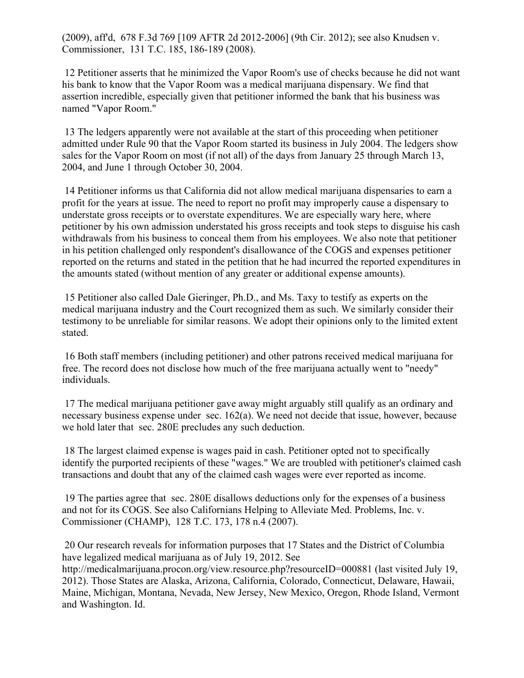(2009), aff'd, 678 F.3d 769 [109 AFTR 2d 2012-2006] (9th Cir. 2012); see also Knudsen v. Commissioner, 131 T.C. 185, 186-189 (2008).

12 Petitioner asserts that he minimized the Vapor Room's use of checks because he did not want his bank to know that the Vapor Room was a medical marijuana dispensary. We find that assertion incredible, especially given that petitioner informed the bank that his business was named "Vapor Room."

13 The ledgers apparently were not available at the start of this proceeding when petitioner admitted under Rule 90 that the Vapor Room started its business in July 2004. The ledgers show sales for the Vapor Room on most (if not all) of the days from January 25 through March 13, 2004, and June 1 through October 30, 2004.

14 Petitioner informs us that California did not allow medical marijuana dispensaries to earn a profit for the years at issue. The need to report no profit may improperly cause a dispensary to understate gross receipts or to overstate expenditures. We are especially wary here, where petitioner by his own admission understated his gross receipts and took steps to disguise his cash withdrawals from his business to conceal them from his employees. We also note that petitioner in his petition challenged only respondent's disallowance of the COGS and expenses petitioner reported on the returns and stated in the petition that he had incurred the reported expenditures in the amounts stated (without mention of any greater or additional expense amounts).

15 Petitioner also called Dale Gieringer, Ph.D., and Ms. Taxy to testify as experts on the medical marijuana industry and the Court recognized them as such. We similarly consider their testimony to be unreliable for similar reasons. We adopt their opinions only to the limited extent stated.

16 Both staff members (including petitioner) and other patrons received medical marijuana for free. The record does not disclose how much of the free marijuana actually went to "needy" individuals.

17 The medical marijuana petitioner gave away might arguably still qualify as an ordinary and necessary business expense under sec. 162(a). We need not decide that issue, however, because we hold later that sec. 280E precludes any such deduction.

18 The largest claimed expense is wages paid in cash. Petitioner opted not to specifically identify the purported recipients of these "wages." We are troubled with petitioner's claimed cash transactions and doubt that any of the claimed cash wages were ever reported as income.

19 The parties agree that sec. 280E disallows deductions only for the expenses of a business and not for its COGS. See also Californians Helping to Alleviate Med. Problems, Inc. v. Commissioner (CHAMP), 128 T.C. 173, 178 n.4 (2007).

20 Our research reveals for information purposes that 17 States and the District of Columbia have legalized medical marijuana as of July 19, 2012. See http://medicalmarijuana.procon.org/view.resource.php?resourceID=000881 (last visited July 19, 2012). Those States are Alaska, Arizona, California, Colorado, Connecticut, Delaware, Hawaii, Maine, Michigan, Montana, Nevada, New Jersey, New Mexico, Oregon, Rhode Island, Vermont and Washington. Id.